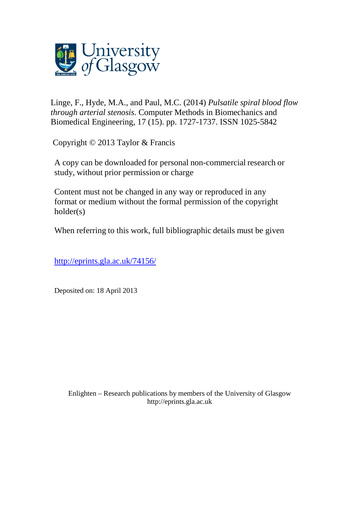

Linge, F., Hyde, M.A., and [Paul, M.C.](http://eprints.gla.ac.uk/view/author/9217.html) (2014) *Pulsatile spiral blood flow through arterial stenosis.* [Computer Methods in Biomechanics and](http://eprints.gla.ac.uk/view/journal_volume/Computer_Methods_in_Biomechanics_and_Biomedical_Engineering.html)  [Biomedical Engineering,](http://eprints.gla.ac.uk/view/journal_volume/Computer_Methods_in_Biomechanics_and_Biomedical_Engineering.html) 17 (15). pp. 1727-1737. ISSN 1025-5842

Copyright © 2013 Taylor & Francis

A copy can be downloaded for personal non-commercial research or study, without prior permission or charge

Content must not be changed in any way or reproduced in any format or medium without the formal permission of the copyright holder(s)

When referring to this work, full bibliographic details must be given

<http://eprints.gla.ac.uk/74156/>

Deposited on: 18 April 2013

Enlighten – Research publications by members of the University of Glasgo[w](http://eprints.gla.ac.uk/) [http://eprints.gla.ac.uk](http://eprints.gla.ac.uk/)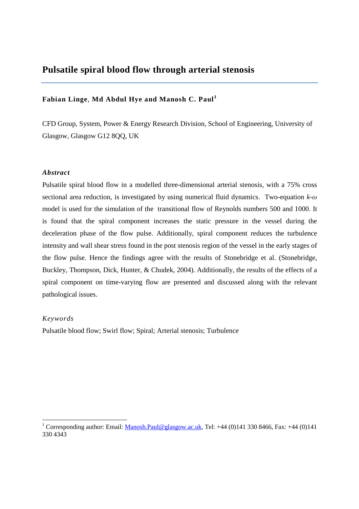# **Pulsatile spiral blood flow through arterial stenosis**

# **Fabian Linge**, **Md Abdul Hye and Manosh C. Paul<sup>1</sup>**

CFD Group, System, Power & Energy Research Division, School of Engineering, University of Glasgow, Glasgow G12 8QQ, UK

# *Abstract*

Pulsatile spiral blood flow in a modelled three-dimensional arterial stenosis, with a 75% cross sectional area reduction, is investigated by using numerical fluid dynamics. Two-equation *k-ω* model is used for the simulation of the transitional flow of Reynolds numbers 500 and 1000. It is found that the spiral component increases the static pressure in the vessel during the deceleration phase of the flow pulse. Additionally, spiral component reduces the turbulence intensity and wall shear stress found in the post stenosis region of the vessel in the early stages of the flow pulse. Hence the findings agree with the results of Stonebridge et al. (Stonebridge, Buckley, Thompson, Dick, Hunter, & Chudek, 2004). Additionally, the results of the effects of a spiral component on time-varying flow are presented and discussed along with the relevant pathological issues.

# *Keywords*

<u>.</u>

Pulsatile blood flow; Swirl flow; Spiral; Arterial stenosis; Turbulence

<sup>&</sup>lt;sup>1</sup> Corresponding author: Email: **Manosh.Paul@glasgow.ac.uk**, Tel: +44 (0)141 330 8466, Fax: +44 (0)141 330 4343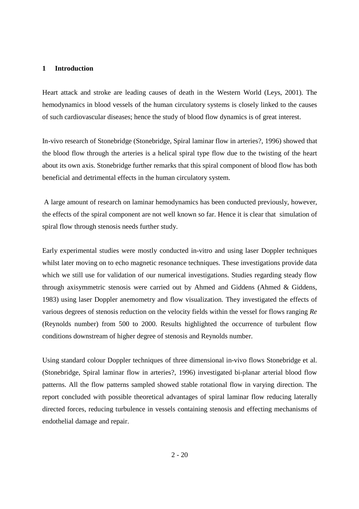# **1 Introduction**

Heart attack and stroke are leading causes of death in the Western World (Leys, 2001). The hemodynamics in blood vessels of the human circulatory systems is closely linked to the causes of such cardiovascular diseases; hence the study of blood flow dynamics is of great interest.

In-vivo research of Stonebridge (Stonebridge, Spiral laminar flow in arteries?, 1996) showed that the blood flow through the arteries is a helical spiral type flow due to the twisting of the heart about its own axis. Stonebridge further remarks that this spiral component of blood flow has both beneficial and detrimental effects in the human circulatory system.

 A large amount of research on laminar hemodynamics has been conducted previously, however, the effects of the spiral component are not well known so far. Hence it is clear that simulation of spiral flow through stenosis needs further study.

Early experimental studies were mostly conducted in-vitro and using laser Doppler techniques whilst later moving on to echo magnetic resonance techniques. These investigations provide data which we still use for validation of our numerical investigations. Studies regarding steady flow through axisymmetric stenosis were carried out by Ahmed and Giddens (Ahmed & Giddens, 1983) using laser Doppler anemometry and flow visualization. They investigated the effects of various degrees of stenosis reduction on the velocity fields within the vessel for flows ranging *Re* (Reynolds number) from 500 to 2000. Results highlighted the occurrence of turbulent flow conditions downstream of higher degree of stenosis and Reynolds number.

Using standard colour Doppler techniques of three dimensional in-vivo flows Stonebridge et al. (Stonebridge, Spiral laminar flow in arteries?, 1996) investigated bi-planar arterial blood flow patterns. All the flow patterns sampled showed stable rotational flow in varying direction. The report concluded with possible theoretical advantages of spiral laminar flow reducing laterally directed forces, reducing turbulence in vessels containing stenosis and effecting mechanisms of endothelial damage and repair.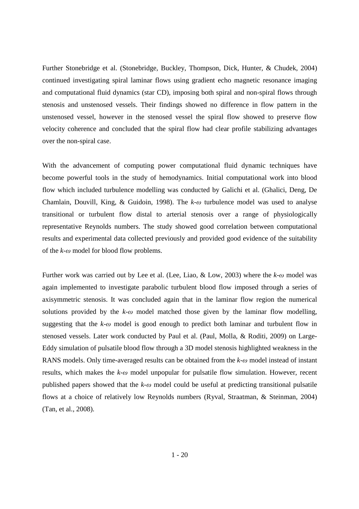Further Stonebridge et al. (Stonebridge, Buckley, Thompson, Dick, Hunter, & Chudek, 2004) continued investigating spiral laminar flows using gradient echo magnetic resonance imaging and computational fluid dynamics (star CD), imposing both spiral and non-spiral flows through stenosis and unstenosed vessels. Their findings showed no difference in flow pattern in the unstenosed vessel, however in the stenosed vessel the spiral flow showed to preserve flow velocity coherence and concluded that the spiral flow had clear profile stabilizing advantages over the non-spiral case.

With the advancement of computing power computational fluid dynamic techniques have become powerful tools in the study of hemodynamics. Initial computational work into blood flow which included turbulence modelling was conducted by Galichi et al. (Ghalici, Deng, De Chamlain, Douvill, King, & Guidoin, 1998). The *k-ω* turbulence model was used to analyse transitional or turbulent flow distal to arterial stenosis over a range of physiologically representative Reynolds numbers. The study showed good correlation between computational results and experimental data collected previously and provided good evidence of the suitability of the *k-ω* model for blood flow problems.

Further work was carried out by Lee et al. (Lee, Liao, & Low, 2003) where the *k-ω* model was again implemented to investigate parabolic turbulent blood flow imposed through a series of axisymmetric stenosis. It was concluded again that in the laminar flow region the numerical solutions provided by the  $k-\omega$  model matched those given by the laminar flow modelling, suggesting that the *k*-*ω* model is good enough to predict both laminar and turbulent flow in stenosed vessels. Later work conducted by Paul et al. (Paul, Molla, & Roditi, 2009) on Large-Eddy simulation of pulsatile blood flow through a 3D model stenosis highlighted weakness in the RANS models. Only time-averaged results can be obtained from the *k*-*ω* model instead of instant results, which makes the *k*-*ω* model unpopular for pulsatile flow simulation. However, recent published papers showed that the *k-ω* model could be useful at predicting transitional pulsatile flows at a choice of relatively low Reynolds numbers (Ryval, Straatman, & Steinman, 2004) (Tan, et al., 2008).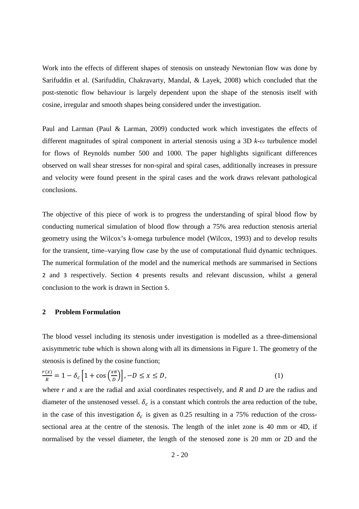Work into the effects of different shapes of stenosis on unsteady Newtonian flow was done by Sarifuddin et al. (Sarifuddin, Chakravarty, Mandal, & Layek, 2008) which concluded that the post-stenotic flow behaviour is largely dependent upon the shape of the stenosis itself with cosine, irregular and smooth shapes being considered under the investigation.

Paul and Larman (Paul & Larman, 2009) conducted work which investigates the effects of different magnitudes of spiral component in arterial stenosis using a 3D *k*-*ω* turbulence model for flows of Reynolds number 500 and 1000. The paper highlights significant differences observed on wall shear stresses for non-spiral and spiral cases, additionally increases in pressure and velocity were found present in the spiral cases and the work draws relevant pathological conclusions.

The objective of this piece of work is to progress the understanding of spiral blood flow by conducting numerical simulation of blood flow through a 75% area reduction stenosis arterial geometry using the Wilcox's *k*-omega turbulence model (Wilcox, 1993) and to develop results for the transient, time–varying flow case by the use of computational fluid dynamic techniques. The numerical formulation of the model and the numerical methods are summarised in Sections 2 and 3 respectively. Section 4 presents results and relevant discussion, whilst a general conclusion to the work is drawn in Section 5.

#### **2 Problem Formulation**

The blood vessel including its stenosis under investigation is modelled as a three-dimensional axisymmetric tube which is shown along with all its dimensions in Figure 1. The geometry of the stenosis is defined by the cosine function;

$$
\frac{r(x)}{R} = 1 - \delta_c \left[ 1 + \cos \left( \frac{x \pi}{D} \right) \right], -D \le x \le D,
$$
\n<sup>(1)</sup>

where *r* and *x* are the radial and axial coordinates respectively, and *R* and *D* are the radius and diameter of the unstenosed vessel.  $\delta_c$  is a constant which controls the area reduction of the tube, in the case of this investigation  $\delta_c$  is given as 0.25 resulting in a 75% reduction of the crosssectional area at the centre of the stenosis. The length of the inlet zone is 40 mm or 4D, if normalised by the vessel diameter, the length of the stenosed zone is 20 mm or 2D and the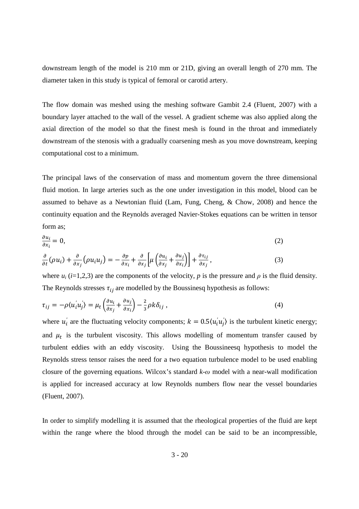downstream length of the model is 210 mm or 21D, giving an overall length of 270 mm. The diameter taken in this study is typical of femoral or carotid artery.

The flow domain was meshed using the meshing software Gambit 2.4 (Fluent, 2007) with a boundary layer attached to the wall of the vessel. A gradient scheme was also applied along the axial direction of the model so that the finest mesh is found in the throat and immediately downstream of the stenosis with a gradually coarsening mesh as you move downstream, keeping computational cost to a minimum.

The principal laws of the conservation of mass and momentum govern the three dimensional fluid motion. In large arteries such as the one under investigation in this model, blood can be assumed to behave as a Newtonian fluid (Lam, Fung, Cheng, & Chow, 2008) and hence the continuity equation and the Reynolds averaged Navier-Stokes equations can be written in tensor form as;

$$
\frac{\partial u_i}{\partial x_i} = 0, \qquad (2)
$$
\n
$$
\frac{\partial}{\partial t}(\rho u_i) + \frac{\partial}{\partial x_i}(\rho u_i u_j) = -\frac{\partial p}{\partial x_i} + \frac{\partial}{\partial x_i} \left[ \mu \left( \frac{\partial u_i}{\partial x_i} + \frac{\partial u_j}{\partial x_i} \right) \right] + \frac{\partial \tau_{ij}}{\partial x_i}, \qquad (3)
$$

$$
\frac{\partial}{\partial t}(\rho u_i) + \frac{\partial}{\partial x_j}(\rho u_i u_j) = -\frac{\partial p}{\partial x_i} + \frac{\partial}{\partial x_j} \left[ \mu \left( \frac{\partial u_i}{\partial x_j} + \frac{\partial u_j}{\partial x_i} \right) \right] + \frac{\partial u_j}{\partial x_j},
$$
\n(3)

\nwhere  $u_i$  (i=1,2,3) are the components of the velocity,  $p$  is the pressure and  $\rho$  is the fluid density.

The Reynolds stresses  $\tau_{ii}$  are modelled by the Boussinesq hypothesis as follows:

$$
\tau_{ij} = -\rho \langle u_i' u_j' \rangle = \mu_t \left( \frac{\partial u_i}{\partial x_j} + \frac{\partial u_j}{\partial x_i} \right) - \frac{2}{3} \rho k \delta_{ij} , \qquad (4)
$$

where  $u'_i$  are the fluctuating velocity components;  $k = 0.5 \langle u'_i u'_j \rangle$  is the turbulent kinetic energy; and  $\mu_t$  is the turbulent viscosity. This allows modelling of momentum transfer caused by turbulent eddies with an eddy viscosity. Using the Boussineesq hypothesis to model the Reynolds stress tensor raises the need for a two equation turbulence model to be used enabling closure of the governing equations. Wilcox's standard *k*-*ω* model with a near-wall modification is applied for increased accuracy at low Reynolds numbers flow near the vessel boundaries (Fluent, 2007).

In order to simplify modelling it is assumed that the rheological properties of the fluid are kept within the range where the blood through the model can be said to be an incompressible,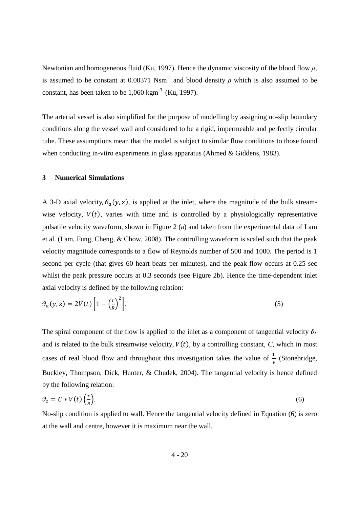Newtonian and homogeneous fluid (Ku, 1997). Hence the dynamic viscosity of the blood flow *µ*, is assumed to be constant at 0.00371 Nsm<sup>-2</sup> and blood density  $\rho$  which is also assumed to be constant, has been taken to be  $1,060 \text{ km}^3$  (Ku, 1997).

The arterial vessel is also simplified for the purpose of modelling by assigning no-slip boundary conditions along the vessel wall and considered to be a rigid, impermeable and perfectly circular tube. These assumptions mean that the model is subject to similar flow conditions to those found when conducting in-vitro experiments in glass apparatus (Ahmed & Giddens, 1983).

#### **3 Numerical Simulations**

A 3-D axial velocity,  $\vartheta_a(y, z)$ , is applied at the inlet, where the magnitude of the bulk streamwise velocity,  $V(t)$ , varies with time and is controlled by a physiologically representative pulsatile velocity waveform, shown in Figure 2 (a) and taken from the experimental data of Lam et al. (Lam, Fung, Cheng, & Chow, 2008). The controlling waveform is scaled such that the peak velocity magnitude corresponds to a flow of Reynolds number of 500 and 1000. The period is 1 second per cycle (that gives 60 heart beats per minutes), and the peak flow occurs at 0.25 sec whilst the peak pressure occurs at 0.3 seconds (see Figure 2b). Hence the time-dependent inlet axial velocity is defined by the following relation:

$$
\vartheta_a(y, z) = 2V(t) \left[ 1 - \left(\frac{r}{R}\right)^2 \right].\tag{5}
$$

The spiral component of the flow is applied to the inlet as a component of tangential velocity  $\vartheta_t$ and is related to the bulk streamwise velocity,  $V(t)$ , by a controlling constant, *C*, which in most cases of real blood flow and throughout this investigation takes the value of  $\frac{1}{6}$  (Stonebridge, Buckley, Thompson, Dick, Hunter, & Chudek, 2004). The tangential velocity is hence defined by the following relation:

$$
\vartheta_t = C * V(t) \left(\frac{r}{R}\right). \tag{6}
$$

No-slip condition is applied to wall. Hence the tangential velocity defined in Equation (6) is zero at the wall and centre, however it is maximum near the wall.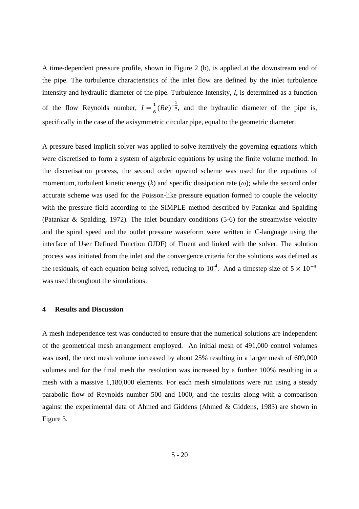A time-dependent pressure profile, shown in Figure 2 (b), is applied at the downstream end of the pipe. The turbulence characteristics of the inlet flow are defined by the inlet turbulence intensity and hydraulic diameter of the pipe. Turbulence Intensity, *I*, is determined as a function of the flow Reynolds number,  $I = \frac{1}{6}(Re)^{-\frac{1}{8}}$ , and the hydraulic diameter of the pipe is, specifically in the case of the axisymmetric circular pipe, equal to the geometric diameter.

A pressure based implicit solver was applied to solve iteratively the governing equations which were discretised to form a system of algebraic equations by using the finite volume method. In the discretisation process, the second order upwind scheme was used for the equations of momentum, turbulent kinetic energy (*k*) and specific dissipation rate (*ω*); while the second order accurate scheme was used for the Poisson-like pressure equation formed to couple the velocity with the pressure field according to the SIMPLE method described by Patankar and Spalding (Patankar & Spalding, 1972). The inlet boundary conditions (5-6) for the streamwise velocity and the spiral speed and the outlet pressure waveform were written in C-language using the interface of User Defined Function (UDF) of Fluent and linked with the solver. The solution process was initiated from the inlet and the convergence criteria for the solutions was defined as the residuals, of each equation being solved, reducing to  $10^{-4}$ . And a timestep size of  $5 \times 10^{-3}$ was used throughout the simulations.

### **4 Results and Discussion**

A mesh independence test was conducted to ensure that the numerical solutions are independent of the geometrical mesh arrangement employed. An initial mesh of 491,000 control volumes was used, the next mesh volume increased by about 25% resulting in a larger mesh of 609,000 volumes and for the final mesh the resolution was increased by a further 100% resulting in a mesh with a massive 1,180,000 elements. For each mesh simulations were run using a steady parabolic flow of Reynolds number 500 and 1000, and the results along with a comparison against the experimental data of Ahmed and Giddens (Ahmed & Giddens, 1983) are shown in Figure 3.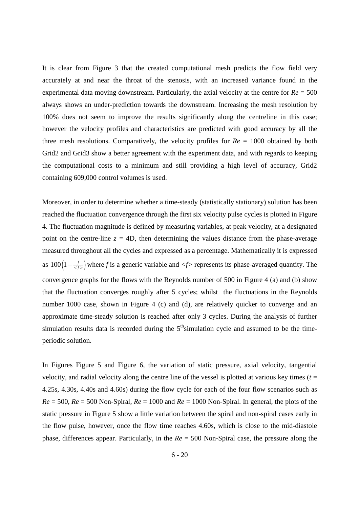It is clear from Figure 3 that the created computational mesh predicts the flow field very accurately at and near the throat of the stenosis, with an increased variance found in the experimental data moving downstream. Particularly, the axial velocity at the centre for  $Re = 500$ always shows an under-prediction towards the downstream. Increasing the mesh resolution by 100% does not seem to improve the results significantly along the centreline in this case; however the velocity profiles and characteristics are predicted with good accuracy by all the three mesh resolutions. Comparatively, the velocity profiles for *Re* = 1000 obtained by both Grid2 and Grid3 show a better agreement with the experiment data, and with regards to keeping the computational costs to a minimum and still providing a high level of accuracy, Grid2 containing 609,000 control volumes is used.

Moreover, in order to determine whether a time-steady (statistically stationary) solution has been reached the fluctuation convergence through the first six velocity pulse cycles is plotted in Figure 4. The fluctuation magnitude is defined by measuring variables, at peak velocity, at a designated point on the centre-line  $z = 4D$ , then determining the values distance from the phase-average measured throughout all the cycles and expressed as a percentage. Mathematically it is expressed as  $100(1 - \frac{f}{\langle f \rangle})$  where *f* is a generic variable and  $\langle f \rangle$  represents its phase-averaged quantity. The convergence graphs for the flows with the Reynolds number of 500 in Figure 4 (a) and (b) show that the fluctuation converges roughly after 5 cycles; whilst the fluctuations in the Reynolds number 1000 case, shown in Figure 4 (c) and (d), are relatively quicker to converge and an approximate time-steady solution is reached after only 3 cycles. During the analysis of further simulation results data is recorded during the  $5<sup>th</sup>$ simulation cycle and assumed to be the timeperiodic solution.

In Figures Figure 5 and Figure 6, the variation of static pressure, axial velocity, tangential velocity, and radial velocity along the centre line of the vessel is plotted at various key times  $(t =$ 4.25s, 4.30s, 4.40s and 4.60s) during the flow cycle for each of the four flow scenarios such as  $Re = 500$ ,  $Re = 500$  Non-Spiral,  $Re = 1000$  and  $Re = 1000$  Non-Spiral. In general, the plots of the static pressure in Figure 5 show a little variation between the spiral and non-spiral cases early in the flow pulse, however, once the flow time reaches 4.60s, which is close to the mid-diastole phase, differences appear. Particularly, in the *Re* = 500 Non-Spiral case, the pressure along the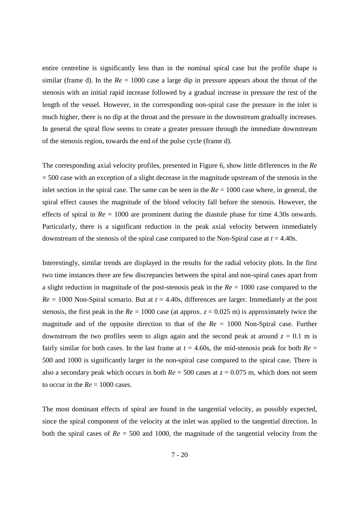entire centreline is significantly less than in the nominal spiral case but the profile shape is similar (frame d). In the  $Re = 1000$  case a large dip in pressure appears about the throat of the stenosis with an initial rapid increase followed by a gradual increase in pressure the rest of the length of the vessel. However, in the corresponding non-spiral case the pressure in the inlet is much higher, there is no dip at the throat and the pressure in the downstream gradually increases. In general the spiral flow seems to create a greater pressure through the immediate downstream of the stenosis region, towards the end of the pulse cycle (frame d).

The corresponding axial velocity profiles, presented in Figure 6, show little differences in the *Re*  $= 500$  case with an exception of a slight decrease in the magnitude upstream of the stenosis in the inlet section in the spiral case. The same can be seen in the  $Re = 1000$  case where, in general, the spiral effect causes the magnitude of the blood velocity fall before the stenosis. However, the effects of spiral in *Re* = 1000 are prominent during the diastole phase for time 4.30s onwards. Particularly, there is a significant reduction in the peak axial velocity between immediately downstream of the stenosis of the spiral case compared to the Non-Spiral case at *t* = 4.40s.

Interestingly, similar trends are displayed in the results for the radial velocity plots. In the first two time instances there are few discrepancies between the spiral and non-spiral cases apart from a slight reduction in magnitude of the post-stenosis peak in the *Re* = 1000 case compared to the  $Re = 1000$  Non-Spiral scenario. But at  $t = 4.40$ s, differences are larger. Immediately at the post stenosis, the first peak in the  $Re = 1000$  case (at approx.  $z = 0.025$  m) is approximately twice the magnitude and of the opposite direction to that of the *Re* = 1000 Non-Spiral case. Further downstream the two profiles seem to align again and the second peak at around  $z = 0.1$  m is fairly similar for both cases. In the last frame at  $t = 4.60$ s, the mid-stenosis peak for both  $Re =$ 500 and 1000 is significantly larger in the non-spiral case compared to the spiral case. There is also a secondary peak which occurs in both *Re* = 500 cases at *z* = 0.075 m, which does not seem to occur in the  $Re = 1000$  cases.

The most dominant effects of spiral are found in the tangential velocity, as possibly expected, since the spiral component of the velocity at the inlet was applied to the tangential direction. In both the spiral cases of *Re* = 500 and 1000, the magnitude of the tangential velocity from the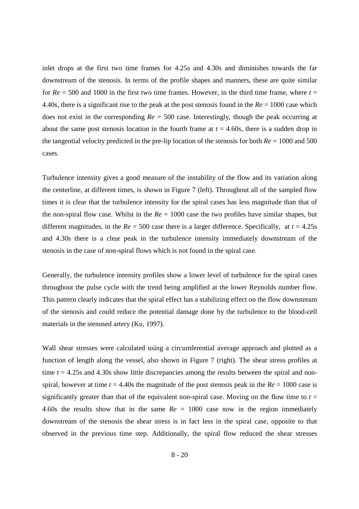inlet drops at the first two time frames for 4.25s and 4.30s and diminishes towards the far downstream of the stenosis. In terms of the profile shapes and manners, these are quite similar for  $Re = 500$  and 1000 in the first two time frames. However, in the third time frame, where  $t =$ 4.40s, there is a significant rise to the peak at the post stenosis found in the *Re* = 1000 case which does not exist in the corresponding *Re* = 500 case. Interestingly, though the peak occurring at about the same post stenosis location in the fourth frame at  $t = 4.60$ s, there is a sudden drop in the tangential velocity predicted in the pre-lip location of the stenosis for both *Re* = 1000 and 500 cases.

Turbulence intensity gives a good measure of the instability of the flow and its variation along the centerline, at different times, is shown in Figure 7 (left). Throughout all of the sampled flow times it is clear that the turbulence intensity for the spiral cases has less magnitude than that of the non-spiral flow case. Whilst in the *Re* = 1000 case the two profiles have similar shapes, but different magnitudes, in the  $Re = 500$  case there is a larger difference. Specifically, at  $t = 4.25s$ and 4.30s there is a clear peak in the turbulence intensity immediately downstream of the stenosis in the case of non-spiral flows which is not found in the spiral case.

Generally, the turbulence intensity profiles show a lower level of turbulence for the spiral cases throughout the pulse cycle with the trend being amplified at the lower Reynolds number flow. This pattern clearly indicates that the spiral effect has a stabilizing effect on the flow downstream of the stenosis and could reduce the potential damage done by the turbulence to the blood-cell materials in the stenosed artery (Ku, 1997).

Wall shear stresses were calculated using a circumferential average approach and plotted as a function of length along the vessel, also shown in Figure 7 (right). The shear stress profiles at time  $t = 4.25s$  and  $4.30s$  show little discrepancies among the results between the spiral and nonspiral, however at time  $t = 4.40s$  the magnitude of the post stenosis peak in the  $Re = 1000$  case is significantly greater than that of the equivalent non-spiral case. Moving on the flow time to  $t =$ 4.60s the results show that in the same *Re* = 1000 case now in the region immediately downstream of the stenosis the shear stress is in fact less in the spiral case, opposite to that observed in the previous time step. Additionally, the spiral flow reduced the shear stresses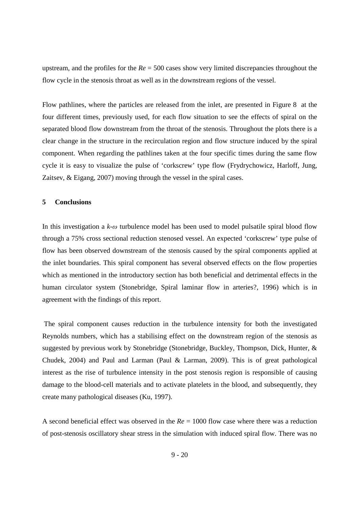upstream, and the profiles for the *Re* = 500 cases show very limited discrepancies throughout the flow cycle in the stenosis throat as well as in the downstream regions of the vessel.

Flow pathlines, where the particles are released from the inlet, are presented in Figure 8 at the four different times, previously used, for each flow situation to see the effects of spiral on the separated blood flow downstream from the throat of the stenosis. Throughout the plots there is a clear change in the structure in the recirculation region and flow structure induced by the spiral component. When regarding the pathlines taken at the four specific times during the same flow cycle it is easy to visualize the pulse of 'corkscrew' type flow (Frydrychowicz, Harloff, Jung, Zaitsev, & Eigang, 2007) moving through the vessel in the spiral cases.

### **5 Conclusions**

In this investigation a *k-ω* turbulence model has been used to model pulsatile spiral blood flow through a 75% cross sectional reduction stenosed vessel. An expected 'corkscrew' type pulse of flow has been observed downstream of the stenosis caused by the spiral components applied at the inlet boundaries. This spiral component has several observed effects on the flow properties which as mentioned in the introductory section has both beneficial and detrimental effects in the human circulator system (Stonebridge, Spiral laminar flow in arteries?, 1996) which is in agreement with the findings of this report.

 The spiral component causes reduction in the turbulence intensity for both the investigated Reynolds numbers, which has a stabilising effect on the downstream region of the stenosis as suggested by previous work by Stonebridge (Stonebridge, Buckley, Thompson, Dick, Hunter, & Chudek, 2004) and Paul and Larman (Paul & Larman, 2009). This is of great pathological interest as the rise of turbulence intensity in the post stenosis region is responsible of causing damage to the blood-cell materials and to activate platelets in the blood, and subsequently, they create many pathological diseases (Ku, 1997).

A second beneficial effect was observed in the *Re* = 1000 flow case where there was a reduction of post-stenosis oscillatory shear stress in the simulation with induced spiral flow. There was no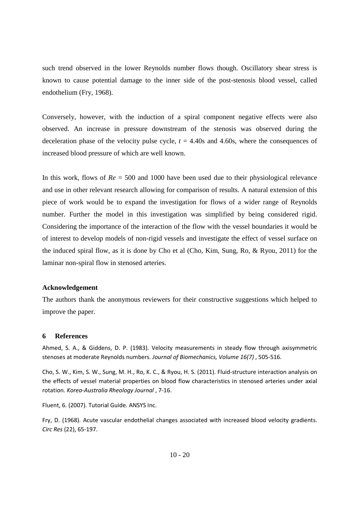such trend observed in the lower Reynolds number flows though. Oscillatory shear stress is known to cause potential damage to the inner side of the post-stenosis blood vessel, called endothelium (Fry, 1968).

Conversely, however, with the induction of a spiral component negative effects were also observed. An increase in pressure downstream of the stenosis was observed during the deceleration phase of the velocity pulse cycle,  $t = 4.40s$  and  $4.60s$ , where the consequences of increased blood pressure of which are well known.

In this work, flows of *Re* = 500 and 1000 have been used due to their physiological relevance and use in other relevant research allowing for comparison of results. A natural extension of this piece of work would be to expand the investigation for flows of a wider range of Reynolds number. Further the model in this investigation was simplified by being considered rigid. Considering the importance of the interaction of the flow with the vessel boundaries it would be of interest to develop models of non-rigid vessels and investigate the effect of vessel surface on the induced spiral flow, as it is done by Cho et al (Cho, Kim, Sung, Ro, & Ryou, 2011) for the laminar non-spiral flow in stenosed arteries.

## **Acknowledgement**

The authors thank the anonymous reviewers for their constructive suggestions which helped to improve the paper.

### **6 References**

Ahmed, S. A., & Giddens, D. P. (1983). Velocity measurements in steady flow through axisymmetric stenoses at moderate Reynolds numbers. *Journal of Biomechanics, Volume 16(7)* , 505-516.

Cho, S. W., Kim, S. W., Sung, M. H., Ro, K. C., & Ryou, H. S. (2011). Fluid-structure interaction analysis on the effects of vessel material properties on blood flow characteristics in stenosed arteries under axial rotation. *Korea-Australia Rheology Journal* , 7-16.

Fluent, 6. (2007). Tutorial Guide. ANSYS Inc.

Fry, D. (1968). Acute vascular endothelial changes associated with increased blood velocity gradients. *Circ Res* (22), 65-197.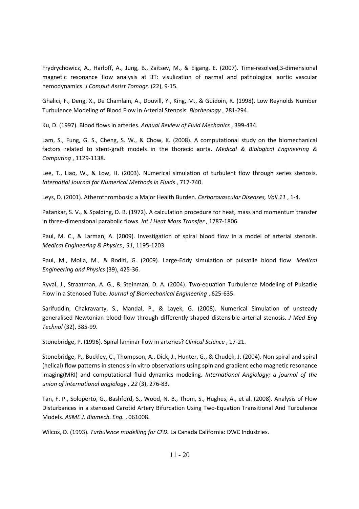Frydrychowicz, A., Harloff, A., Jung, B., Zaitsev, M., & Eigang, E. (2007). Time-resolved,3-dimensional magnetic resonance flow analysis at 3T: visulization of narmal and pathological aortic vascular hemodynamics. *J Comput Assist Tomogr.* (22), 9-15.

Ghalici, F., Deng, X., De Chamlain, A., Douvill, Y., King, M., & Guidoin, R. (1998). Low Reynolds Number Turbulence Modeling of Blood Flow in Arterial Stenosis. *Biorheology* , 281-294.

Ku, D. (1997). Blood flows in arteries. *Annual Review of Fluid Mechanics* , 399-434.

Lam, S., Fung, G. S., Cheng, S. W., & Chow, K. (2008). A computational study on the biomechanical factors related to stent-graft models in the thoracic aorta. *Medical & Biological Engineering & Computing* , 1129-1138.

Lee, T., Liao, W., & Low, H. (2003). Numerical simulation of turbulent flow through series stenosis. *Internatial Journal for Numerical Methods in Fluids* , 717-740.

Leys, D. (2001). Atherothrombosis: a Major Health Burden. *Cerborovascular Diseases, Voll.11* , 1-4.

Patankar, S. V., & Spalding, D. B. (1972). A calculation procedure for heat, mass and momentum transfer in three-dimensional parabolic flows. *Int J Heat Mass Transfer* , 1787-1806.

Paul, M. C., & Larman, A. (2009). Investigation of spiral blood flow in a model of arterial stenosis. *Medical Engineering & Physics , 31*, 1195-1203.

Paul, M., Molla, M., & Roditi, G. (2009). Large-Eddy simulation of pulsatile blood flow. *Medical Engineering and Physics* (39), 425-36.

Ryval, J., Straatman, A. G., & Steinman, D. A. (2004). Two-equation Turbulence Modeling of Pulsatile Flow in a Stenosed Tube. *Journal of Biomechanical Engineering* , 625-635.

Sarifuddin, Chakravarty, S., Mandal, P., & Layek, G. (2008). Numerical Simulation of unsteady generalised Newtonian blood flow through differently shaped distensible arterial stenosis. *J Med Eng Technol* (32), 385-99.

Stonebridge, P. (1996). Spiral laminar flow in arteries? *Clinical Science* , 17-21.

Stonebridge, P., Buckley, C., Thompson, A., Dick, J., Hunter, G., & Chudek, J. (2004). Non spiral and spiral (helical) flow patterns in stenosis-in vitro observations using spin and gradient echo magnetic resonance imaging(MRI) and computational fluid dynamics modeling. *International Angiology; a journal of the union of international angiology , 22* (3), 276-83.

Tan, F. P., Soloperto, G., Bashford, S., Wood, N. B., Thom, S., Hughes, A., et al. (2008). Analysis of Flow Disturbances in a stenosed Carotid Artery Bifurcation Using Two-Equation Transitional And Turbulence Models. *ASME J. Biomech. Eng.* , 061008.

Wilcox, D. (1993). *Turbulence modelling for CFD.* La Canada California: DWC Industries.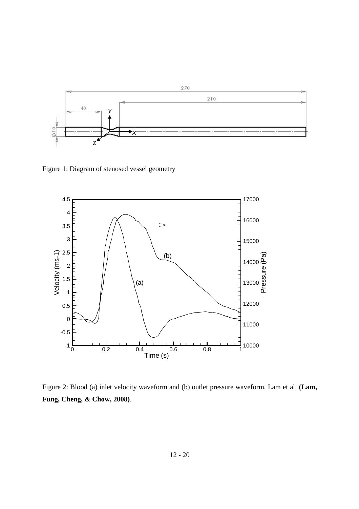

Figure 1: Diagram of stenosed vessel geometry



Figure 2: Blood (a) inlet velocity waveform and (b) outlet pressure waveform, Lam et al. **(Lam, Fung, Cheng, & Chow, 2008)**.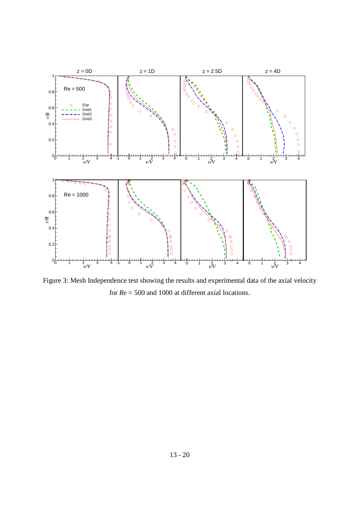

Figure 3: Mesh Independence test showing the results and experimental data of the axial velocity for *Re* = 500 and 1000 at different axial locations.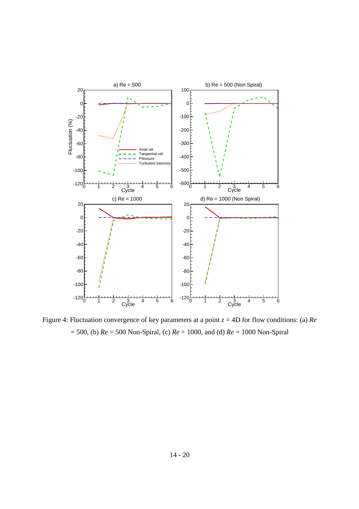

Figure 4: Fluctuation convergence of key parameters at a point *z* = 4D for flow conditions: (a) *Re*  = 500, (b) *Re* = 500 Non-Spiral, (c) *Re* = 1000, and (d) *Re* = 1000 Non-Spiral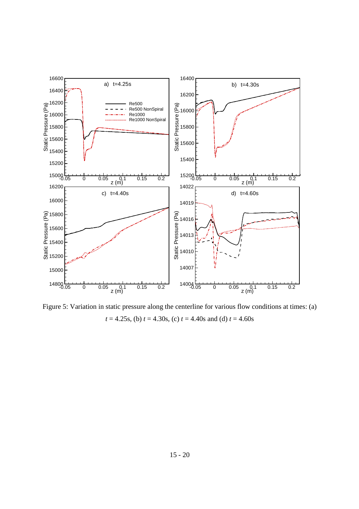

Figure 5: Variation in static pressure along the centerline for various flow conditions at times: (a) *t* = 4.25s, (b) *t* = 4.30s, (c) *t* = 4.40s and (d) *t* = 4.60s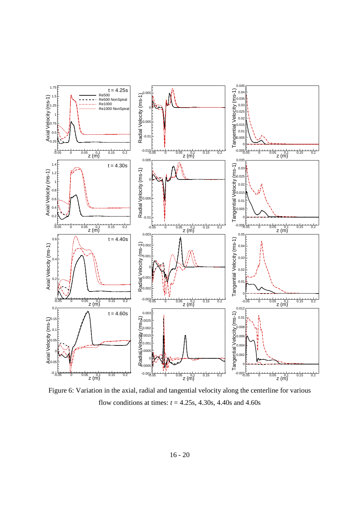

Figure 6: Variation in the axial, radial and tangential velocity along the centerline for various flow conditions at times:  $t = 4.25s$ , 4.30s, 4.40s and 4.60s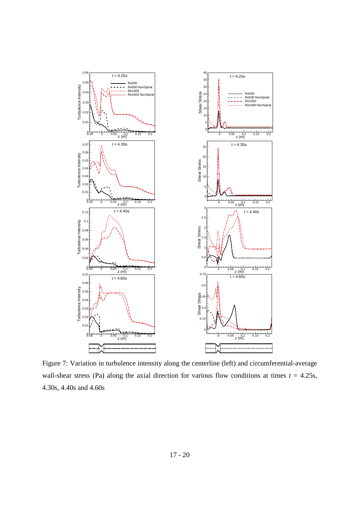

Figure 7: Variation in turbulence intensity along the centerline (left) and circumferential-average wall-shear stress (Pa) along the axial direction for various flow conditions at times  $t = 4.25s$ , 4.30s, 4.40s and 4.60s